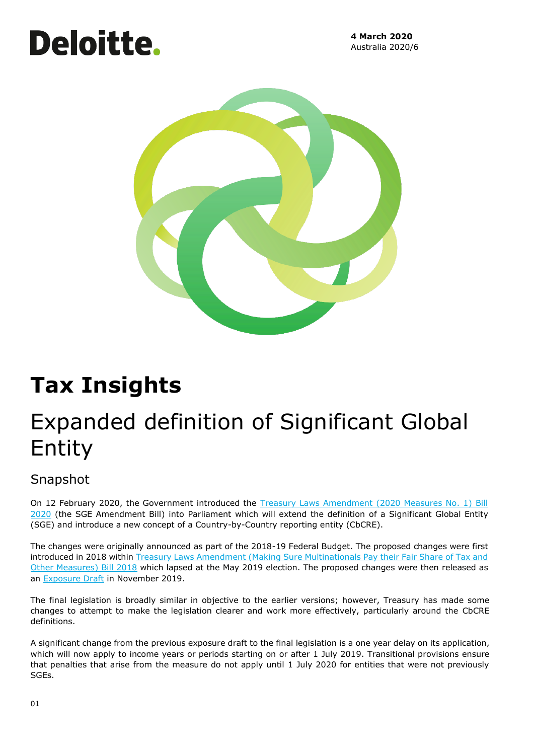# **Deloitte.**

**4 March 2020** Australia 2020/6



## **Tax Insights**

## Expanded definition of Significant Global Entity

### Snapshot

On 12 February 2020, the Government introduced the Treasury Laws Amendment (2020 Measures No. 1) Bill [2020](https://www.aph.gov.au/Parliamentary_Business/Bills_Legislation/Bills_Search_Results/Result?bId=r6492) (the SGE Amendment Bill) into Parliament which will extend the definition of a Significant Global Entity (SGE) and introduce a new concept of a Country-by-Country reporting entity (CbCRE).

The changes were originally announced as part of the 2018-19 Federal Budget. The proposed changes were first introduced in 2018 within Treasury Laws Amendment (Making Sure Multinationals Pay their Fair Share of Tax and [Other Measures\) Bill 2018](https://www.aph.gov.au/Parliamentary_Business/Bills_Legislation/Bills_Search_Results/Result?bId=r6198) which lapsed at the May 2019 election. The proposed changes were then released as an [Exposure Draft](https://www.treasury.gov.au/consultation/c2019-32733) in November 2019.

The final legislation is broadly similar in objective to the earlier versions; however, Treasury has made some changes to attempt to make the legislation clearer and work more effectively, particularly around the CbCRE definitions.

A significant change from the previous exposure draft to the final legislation is a one year delay on its application, which will now apply to income years or periods starting on or after 1 July 2019. Transitional provisions ensure that penalties that arise from the measure do not apply until 1 July 2020 for entities that were not previously SGEs.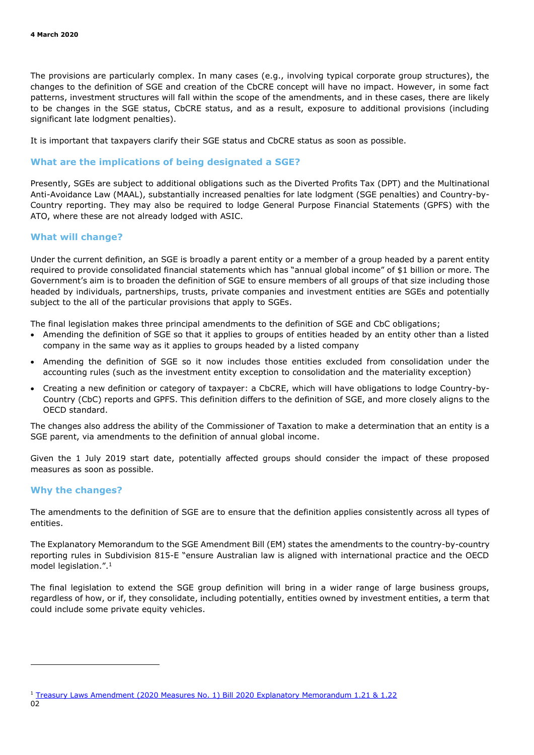The provisions are particularly complex. In many cases (e.g., involving typical corporate group structures), the changes to the definition of SGE and creation of the CbCRE concept will have no impact. However, in some fact patterns, investment structures will fall within the scope of the amendments, and in these cases, there are likely to be changes in the SGE status, CbCRE status, and as a result, exposure to additional provisions (including significant late lodgment penalties).

It is important that taxpayers clarify their SGE status and CbCRE status as soon as possible.

#### **What are the implications of being designated a SGE?**

Presently, SGEs are subject to additional obligations such as the Diverted Profits Tax (DPT) and the Multinational Anti-Avoidance Law (MAAL), substantially increased penalties for late lodgment (SGE penalties) and Country-by-Country reporting. They may also be required to lodge General Purpose Financial Statements (GPFS) with the ATO, where these are not already lodged with ASIC.

#### **What will change?**

Under the current definition, an SGE is broadly a parent entity or a member of a group headed by a parent entity required to provide consolidated financial statements which has "annual global income" of \$1 billion or more. The Government's aim is to broaden the definition of SGE to ensure members of all groups of that size including those headed by individuals, partnerships, trusts, private companies and investment entities are SGEs and potentially subject to the all of the particular provisions that apply to SGEs.

The final legislation makes three principal amendments to the definition of SGE and CbC obligations;

- Amending the definition of SGE so that it applies to groups of entities headed by an entity other than a listed company in the same way as it applies to groups headed by a listed company
- Amending the definition of SGE so it now includes those entities excluded from consolidation under the accounting rules (such as the investment entity exception to consolidation and the materiality exception)
- Creating a new definition or category of taxpayer: a CbCRE, which will have obligations to lodge Country-by-Country (CbC) reports and GPFS. This definition differs to the definition of SGE, and more closely aligns to the OECD standard.

The changes also address the ability of the Commissioner of Taxation to make a determination that an entity is a SGE parent, via amendments to the definition of annual global income.

Given the 1 July 2019 start date, potentially affected groups should consider the impact of these proposed measures as soon as possible.

#### **Why the changes?**

The amendments to the definition of SGE are to ensure that the definition applies consistently across all types of entities.

The Explanatory Memorandum to the SGE Amendment Bill (EM) states the amendments to the country-by-country reporting rules in Subdivision 815-E "ensure Australian law is aligned with international practice and the OECD model legislation.".<sup>1</sup>

The final legislation to extend the SGE group definition will bring in a wider range of large business groups, regardless of how, or if, they consolidate, including potentially, entities owned by investment entities, a term that could include some private equity vehicles.

<sup>1</sup> Treasury Laws Amendment (2020 Measures No. 1) Bill 2020 Explanatory Memorandum 1.21 & 1.22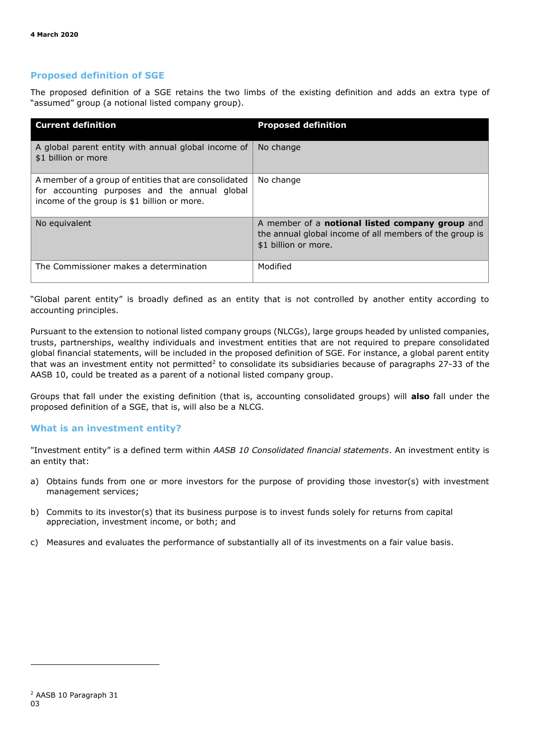#### **Proposed definition of SGE**

The proposed definition of a SGE retains the two limbs of the existing definition and adds an extra type of "assumed" group (a notional listed company group).

| <b>Current definition</b>                                                                                                                             | <b>Proposed definition</b>                                                                                                         |
|-------------------------------------------------------------------------------------------------------------------------------------------------------|------------------------------------------------------------------------------------------------------------------------------------|
| A global parent entity with annual global income of<br>\$1 billion or more                                                                            | No change                                                                                                                          |
| A member of a group of entities that are consolidated<br>for accounting purposes and the annual global<br>income of the group is \$1 billion or more. | No change                                                                                                                          |
| No equivalent                                                                                                                                         | A member of a notional listed company group and<br>the annual global income of all members of the group is<br>\$1 billion or more. |
| The Commissioner makes a determination                                                                                                                | Modified                                                                                                                           |

"Global parent entity" is broadly defined as an entity that is not controlled by another entity according to accounting principles.

Pursuant to the extension to notional listed company groups (NLCGs), large groups headed by unlisted companies, trusts, partnerships, wealthy individuals and investment entities that are not required to prepare consolidated global financial statements, will be included in the proposed definition of SGE. For instance, a global parent entity that was an investment entity not permitted<sup>2</sup> to consolidate its subsidiaries because of paragraphs 27-33 of the AASB 10, could be treated as a parent of a notional listed company group.

Groups that fall under the existing definition (that is, accounting consolidated groups) will **also** fall under the proposed definition of a SGE, that is, will also be a NLCG.

#### **What is an investment entity?**

"Investment entity" is a defined term within *AASB 10 Consolidated financial statements*. An investment entity is an entity that:

- a) Obtains funds from one or more investors for the purpose of providing those investor(s) with investment management services;
- b) Commits to its investor(s) that its business purpose is to invest funds solely for returns from capital appreciation, investment income, or both; and
- c) Measures and evaluates the performance of substantially all of its investments on a fair value basis.

<sup>03</sup> <sup>2</sup> AASB 10 Paragraph 31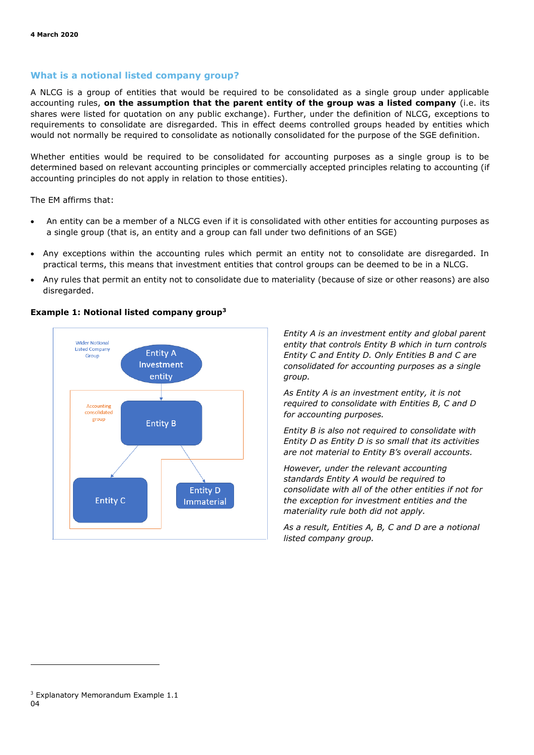#### **What is a notional listed company group?**

A NLCG is a group of entities that would be required to be consolidated as a single group under applicable accounting rules, **on the assumption that the parent entity of the group was a listed company** (i.e. its shares were listed for quotation on any public exchange). Further, under the definition of NLCG, exceptions to requirements to consolidate are disregarded. This in effect deems controlled groups headed by entities which would not normally be required to consolidate as notionally consolidated for the purpose of the SGE definition.

Whether entities would be required to be consolidated for accounting purposes as a single group is to be determined based on relevant accounting principles or commercially accepted principles relating to accounting (if accounting principles do not apply in relation to those entities).

The EM affirms that:

- An entity can be a member of a NLCG even if it is consolidated with other entities for accounting purposes as a single group (that is, an entity and a group can fall under two definitions of an SGE)
- Any exceptions within the accounting rules which permit an entity not to consolidate are disregarded. In practical terms, this means that investment entities that control groups can be deemed to be in a NLCG.
- Any rules that permit an entity not to consolidate due to materiality (because of size or other reasons) are also disregarded.



#### **Example 1: Notional listed company group<sup>3</sup>**

*Entity A is an investment entity and global parent entity that controls Entity B which in turn controls Entity C and Entity D. Only Entities B and C are consolidated for accounting purposes as a single group.*

*As Entity A is an investment entity, it is not required to consolidate with Entities B, C and D for accounting purposes.* 

*Entity B is also not required to consolidate with Entity D as Entity D is so small that its activities are not material to Entity B's overall accounts.* 

*However, under the relevant accounting standards Entity A would be required to consolidate with all of the other entities if not for the exception for investment entities and the materiality rule both did not apply.* 

*As a result, Entities A, B, C and D are a notional listed company group.*

<sup>04</sup> <sup>3</sup> Explanatory Memorandum Example 1.1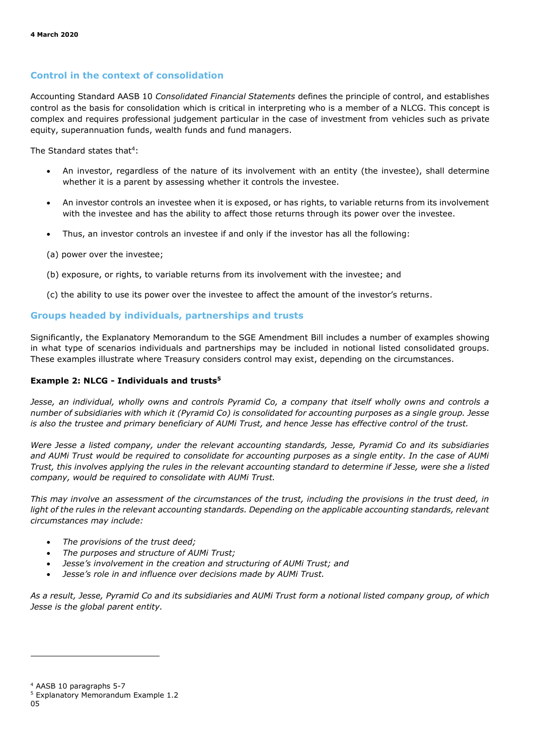#### **Control in the context of consolidation**

Accounting Standard AASB 10 *Consolidated Financial Statements* defines the principle of control, and establishes control as the basis for consolidation which is critical in interpreting who is a member of a NLCG. This concept is complex and requires professional judgement particular in the case of investment from vehicles such as private equity, superannuation funds, wealth funds and fund managers.

The Standard states that<sup>4</sup>:

- An investor, regardless of the nature of its involvement with an entity (the investee), shall determine whether it is a parent by assessing whether it controls the investee.
- An investor controls an investee when it is exposed, or has rights, to variable returns from its involvement with the investee and has the ability to affect those returns through its power over the investee.
- Thus, an investor controls an investee if and only if the investor has all the following:
- (a) power over the investee;
- (b) exposure, or rights, to variable returns from its involvement with the investee; and
- (c) the ability to use its power over the investee to affect the amount of the investor's returns.

#### **Groups headed by individuals, partnerships and trusts**

Significantly, the Explanatory Memorandum to the SGE Amendment Bill includes a number of examples showing in what type of scenarios individuals and partnerships may be included in notional listed consolidated groups. These examples illustrate where Treasury considers control may exist, depending on the circumstances.

#### **Example 2: NLCG - Individuals and trusts<sup>5</sup>**

*Jesse, an individual, wholly owns and controls Pyramid Co, a company that itself wholly owns and controls a number of subsidiaries with which it (Pyramid Co) is consolidated for accounting purposes as a single group. Jesse is also the trustee and primary beneficiary of AUMi Trust, and hence Jesse has effective control of the trust.* 

*Were Jesse a listed company, under the relevant accounting standards, Jesse, Pyramid Co and its subsidiaries and AUMi Trust would be required to consolidate for accounting purposes as a single entity. In the case of AUMi Trust, this involves applying the rules in the relevant accounting standard to determine if Jesse, were she a listed company, would be required to consolidate with AUMi Trust.* 

*This may involve an assessment of the circumstances of the trust, including the provisions in the trust deed, in*  light of the rules in the relevant accounting standards. Depending on the applicable accounting standards, relevant *circumstances may include:*

- *The provisions of the trust deed;*
- *The purposes and structure of AUMi Trust;*
- *Jesse's involvement in the creation and structuring of AUMi Trust; and*
- *Jesse's role in and influence over decisions made by AUMi Trust.*

*As a result, Jesse, Pyramid Co and its subsidiaries and AUMi Trust form a notional listed company group, of which Jesse is the global parent entity.*

<sup>4</sup> AASB 10 paragraphs 5-7

<sup>5</sup> Explanatory Memorandum Example 1.2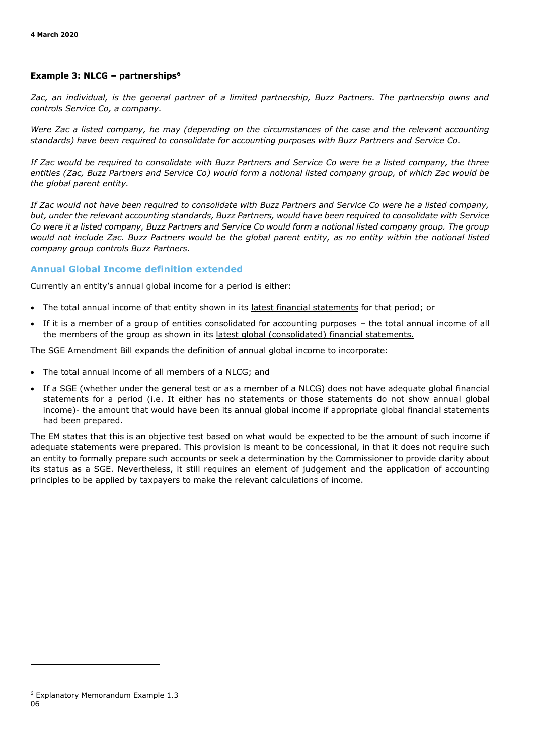#### **Example 3: NLCG – partnerships<sup>6</sup>**

*Zac, an individual, is the general partner of a limited partnership, Buzz Partners. The partnership owns and controls Service Co, a company.* 

*Were Zac a listed company, he may (depending on the circumstances of the case and the relevant accounting standards) have been required to consolidate for accounting purposes with Buzz Partners and Service Co.* 

*If Zac would be required to consolidate with Buzz Partners and Service Co were he a listed company, the three entities (Zac, Buzz Partners and Service Co) would form a notional listed company group, of which Zac would be the global parent entity.* 

*If Zac would not have been required to consolidate with Buzz Partners and Service Co were he a listed company, but, under the relevant accounting standards, Buzz Partners, would have been required to consolidate with Service Co were it a listed company, Buzz Partners and Service Co would form a notional listed company group. The group would not include Zac. Buzz Partners would be the global parent entity, as no entity within the notional listed company group controls Buzz Partners.*

#### **Annual Global Income definition extended**

Currently an entity's annual global income for a period is either:

- The total annual income of that entity shown in its latest financial statements for that period; or
- If it is a member of a group of entities consolidated for accounting purposes the total annual income of all the members of the group as shown in its latest global (consolidated) financial statements.

The SGE Amendment Bill expands the definition of annual global income to incorporate:

- The total annual income of all members of a NLCG; and
- If a SGE (whether under the general test or as a member of a NLCG) does not have adequate global financial statements for a period (i.e. It either has no statements or those statements do not show annual global income)- the amount that would have been its annual global income if appropriate global financial statements had been prepared.

The EM states that this is an objective test based on what would be expected to be the amount of such income if adequate statements were prepared. This provision is meant to be concessional, in that it does not require such an entity to formally prepare such accounts or seek a determination by the Commissioner to provide clarity about its status as a SGE. Nevertheless, it still requires an element of judgement and the application of accounting principles to be applied by taxpayers to make the relevant calculations of income.

<sup>06</sup> <sup>6</sup> Explanatory Memorandum Example 1.3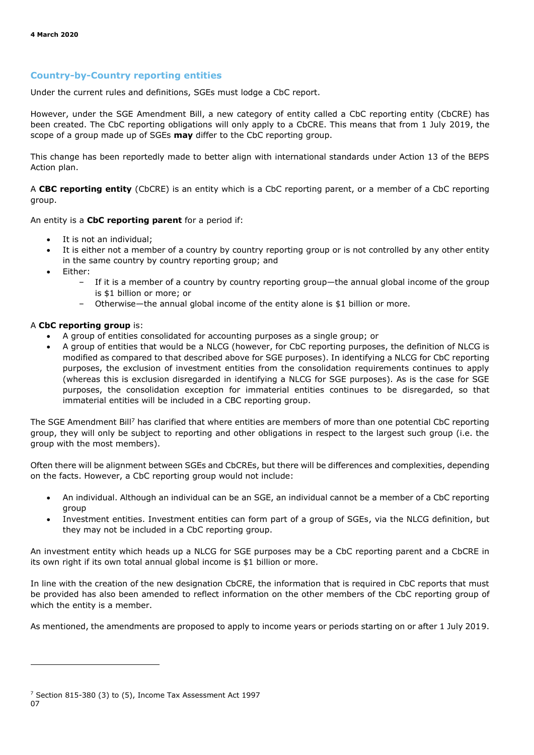#### **Country-by-Country reporting entities**

Under the current rules and definitions, SGEs must lodge a CbC report.

However, under the SGE Amendment Bill, a new category of entity called a CbC reporting entity (CbCRE) has been created. The CbC reporting obligations will only apply to a CbCRE. This means that from 1 July 2019, the scope of a group made up of SGEs **may** differ to the CbC reporting group.

This change has been reportedly made to better align with international standards under Action 13 of the BEPS Action plan.

A **CBC reporting entity** (CbCRE) is an entity which is a CbC reporting parent, or a member of a CbC reporting group.

An entity is a **CbC reporting parent** for a period if:

- It is not an individual;
- It is either not a member of a country by country reporting group or is not controlled by any other entity in the same country by country reporting group; and
- Either:
	- If it is a member of a country by country reporting group—the annual global income of the group is \$1 billion or more; or
	- Otherwise—the annual global income of the entity alone is \$1 billion or more.

#### A **CbC reporting group** is:

- A group of entities consolidated for accounting purposes as a single group; or
- A group of entities that would be a NLCG (however, for CbC reporting purposes, the definition of NLCG is modified as compared to that described above for SGE purposes). In identifying a NLCG for CbC reporting purposes, the exclusion of investment entities from the consolidation requirements continues to apply (whereas this is exclusion disregarded in identifying a NLCG for SGE purposes). As is the case for SGE purposes, the consolidation exception for immaterial entities continues to be disregarded, so that immaterial entities will be included in a CBC reporting group.

The SGE Amendment Bill<sup>7</sup> has clarified that where entities are members of more than one potential CbC reporting group, they will only be subject to reporting and other obligations in respect to the largest such group (i.e. the group with the most members).

Often there will be alignment between SGEs and CbCREs, but there will be differences and complexities, depending on the facts. However, a CbC reporting group would not include:

- An individual. Although an individual can be an SGE, an individual cannot be a member of a CbC reporting group
- Investment entities. Investment entities can form part of a group of SGEs, via the NLCG definition, but they may not be included in a CbC reporting group.

An investment entity which heads up a NLCG for SGE purposes may be a CbC reporting parent and a CbCRE in its own right if its own total annual global income is \$1 billion or more.

In line with the creation of the new designation CbCRE, the information that is required in CbC reports that must be provided has also been amended to reflect information on the other members of the CbC reporting group of which the entity is a member.

As mentioned, the amendments are proposed to apply to income years or periods starting on or after 1 July 2019.

<sup>07</sup> <sup>7</sup> Section 815-380 (3) to (5), Income Tax Assessment Act 1997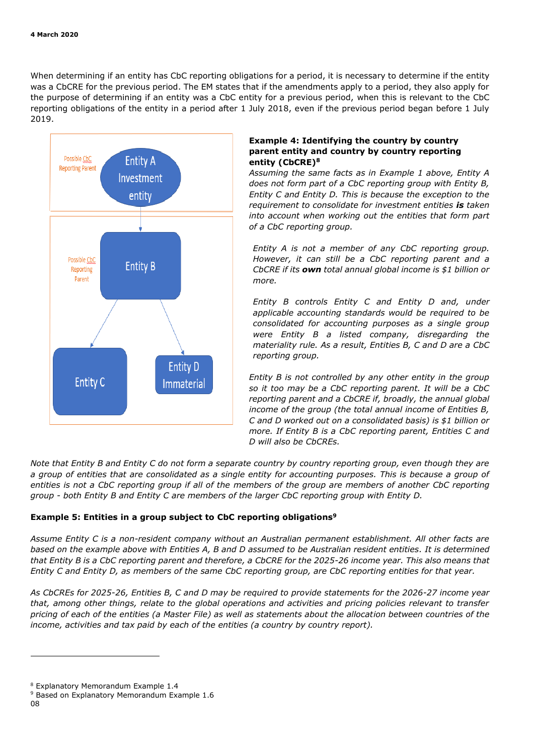When determining if an entity has CbC reporting obligations for a period, it is necessary to determine if the entity was a CbCRE for the previous period. The EM states that if the amendments apply to a period, they also apply for the purpose of determining if an entity was a CbC entity for a previous period, when this is relevant to the CbC reporting obligations of the entity in a period after 1 July 2018, even if the previous period began before 1 July 2019.



#### **Example 4: Identifying the country by country parent entity and country by country reporting entity (CbCRE)<sup>8</sup>**

*Assuming the same facts as in Example 1 above, Entity A does not form part of a CbC reporting group with Entity B, Entity C and Entity D. This is because the exception to the requirement to consolidate for investment entities is taken into account when working out the entities that form part of a CbC reporting group.* 

*Entity A is not a member of any CbC reporting group. However, it can still be a CbC reporting parent and a CbCRE if its own total annual global income is \$1 billion or more.* 

*Entity B controls Entity C and Entity D and, under applicable accounting standards would be required to be consolidated for accounting purposes as a single group were Entity B a listed company, disregarding the materiality rule. As a result, Entities B, C and D are a CbC reporting group.* 

*Entity B is not controlled by any other entity in the group so it too may be a CbC reporting parent. It will be a CbC reporting parent and a CbCRE if, broadly, the annual global income of the group (the total annual income of Entities B, C and D worked out on a consolidated basis) is \$1 billion or more. If Entity B is a CbC reporting parent, Entities C and D will also be CbCREs.*

*Note that Entity B and Entity C do not form a separate country by country reporting group, even though they are a group of entities that are consolidated as a single entity for accounting purposes. This is because a group of entities is not a CbC reporting group if all of the members of the group are members of another CbC reporting group - both Entity B and Entity C are members of the larger CbC reporting group with Entity D.* 

#### **Example 5: Entities in a group subject to CbC reporting obligations<sup>9</sup>**

*Assume Entity C is a non-resident company without an Australian permanent establishment. All other facts are based on the example above with Entities A, B and D assumed to be Australian resident entities. It is determined that Entity B is a CbC reporting parent and therefore, a CbCRE for the 2025-26 income year. This also means that Entity C and Entity D, as members of the same CbC reporting group, are CbC reporting entities for that year.* 

*As CbCREs for 2025-26, Entities B, C and D may be required to provide statements for the 2026-27 income year that, among other things, relate to the global operations and activities and pricing policies relevant to transfer pricing of each of the entities (a Master File) as well as statements about the allocation between countries of the income, activities and tax paid by each of the entities (a country by country report).* 

<sup>8</sup> Explanatory Memorandum Example 1.4

<sup>9</sup> Based on Explanatory Memorandum Example 1.6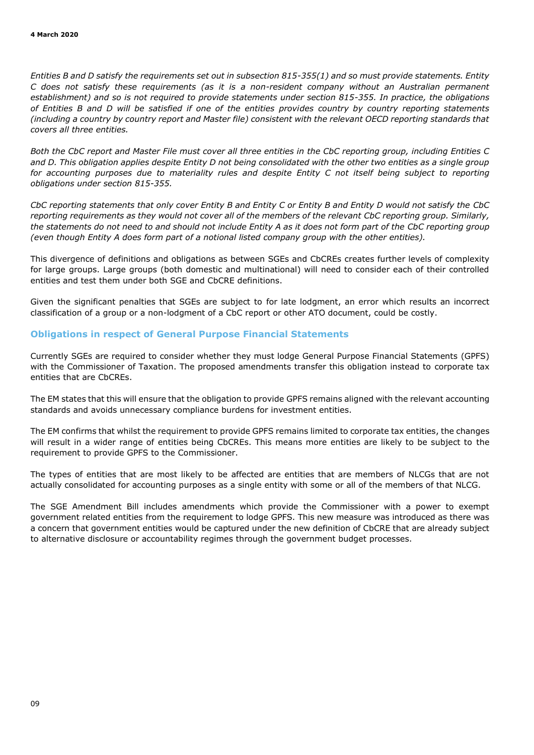*Entities B and D satisfy the requirements set out in subsection 815-355(1) and so must provide statements. Entity C does not satisfy these requirements (as it is a non-resident company without an Australian permanent establishment) and so is not required to provide statements under section 815-355. In practice, the obligations of Entities B and D will be satisfied if one of the entities provides country by country reporting statements (including a country by country report and Master file) consistent with the relevant OECD reporting standards that covers all three entities.* 

*Both the CbC report and Master File must cover all three entities in the CbC reporting group, including Entities C and D. This obligation applies despite Entity D not being consolidated with the other two entities as a single group*  for accounting purposes due to materiality rules and despite Entity C not itself being subject to reporting *obligations under section 815-355.* 

*CbC reporting statements that only cover Entity B and Entity C or Entity B and Entity D would not satisfy the CbC reporting requirements as they would not cover all of the members of the relevant CbC reporting group. Similarly, the statements do not need to and should not include Entity A as it does not form part of the CbC reporting group (even though Entity A does form part of a notional listed company group with the other entities).*

This divergence of definitions and obligations as between SGEs and CbCREs creates further levels of complexity for large groups. Large groups (both domestic and multinational) will need to consider each of their controlled entities and test them under both SGE and CbCRE definitions.

Given the significant penalties that SGEs are subject to for late lodgment, an error which results an incorrect classification of a group or a non-lodgment of a CbC report or other ATO document, could be costly.

#### **Obligations in respect of General Purpose Financial Statements**

Currently SGEs are required to consider whether they must lodge General Purpose Financial Statements (GPFS) with the Commissioner of Taxation. The proposed amendments transfer this obligation instead to corporate tax entities that are CbCREs.

The EM states that this will ensure that the obligation to provide GPFS remains aligned with the relevant accounting standards and avoids unnecessary compliance burdens for investment entities.

The EM confirms that whilst the requirement to provide GPFS remains limited to corporate tax entities, the changes will result in a wider range of entities being CbCREs. This means more entities are likely to be subject to the requirement to provide GPFS to the Commissioner.

The types of entities that are most likely to be affected are entities that are members of NLCGs that are not actually consolidated for accounting purposes as a single entity with some or all of the members of that NLCG.

The SGE Amendment Bill includes amendments which provide the Commissioner with a power to exempt government related entities from the requirement to lodge GPFS. This new measure was introduced as there was a concern that government entities would be captured under the new definition of CbCRE that are already subject to alternative disclosure or accountability regimes through the government budget processes.